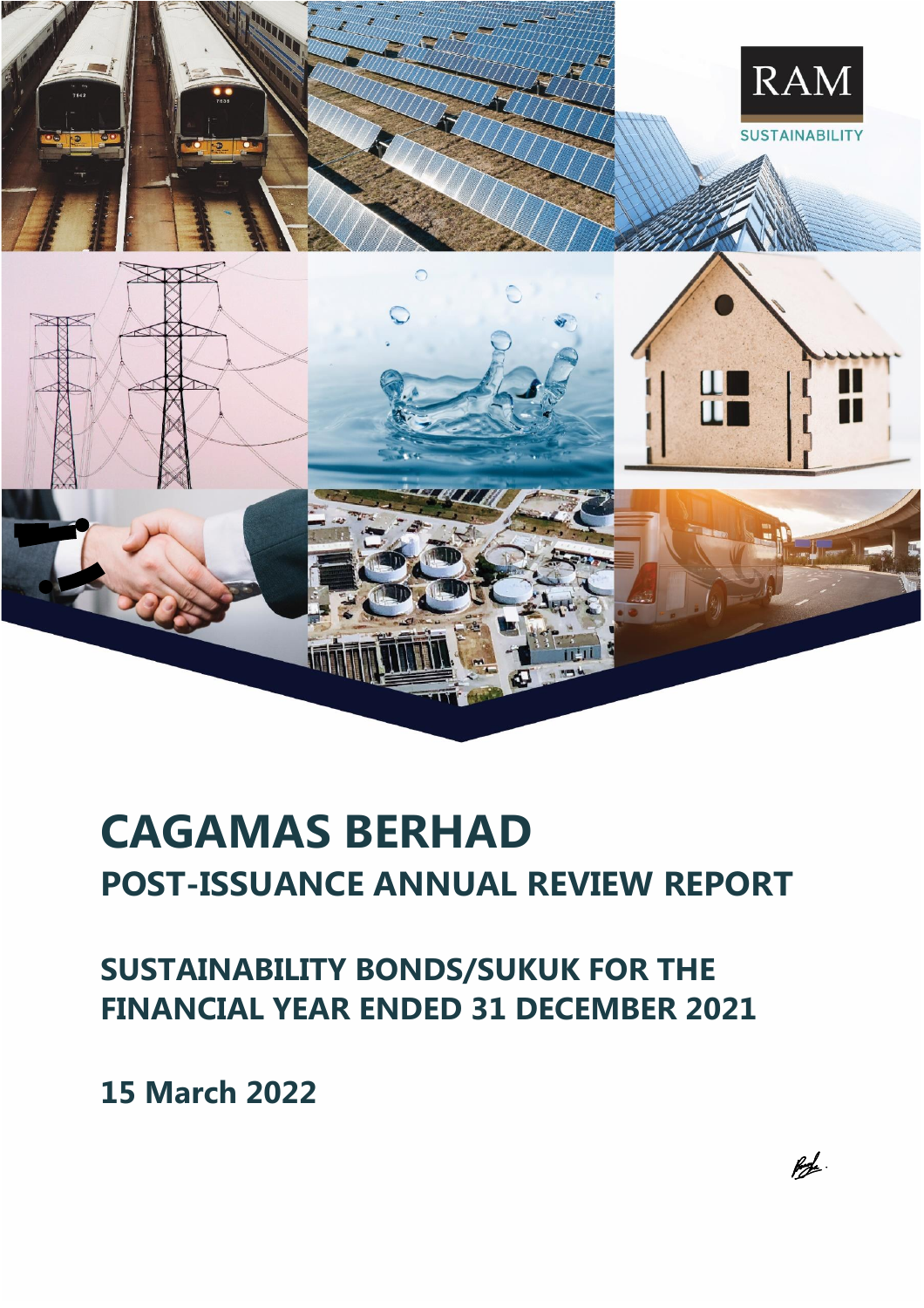

# **CAGAMAS BERHAD POST-ISSUANCE ANNUAL REVIEW REPORT**

**SUSTAINABILITY BONDS/SUKUK FOR THE FINANCIAL YEAR ENDED 31 DECEMBER 2021**

**15 March 2022**

 $f\rightarrow$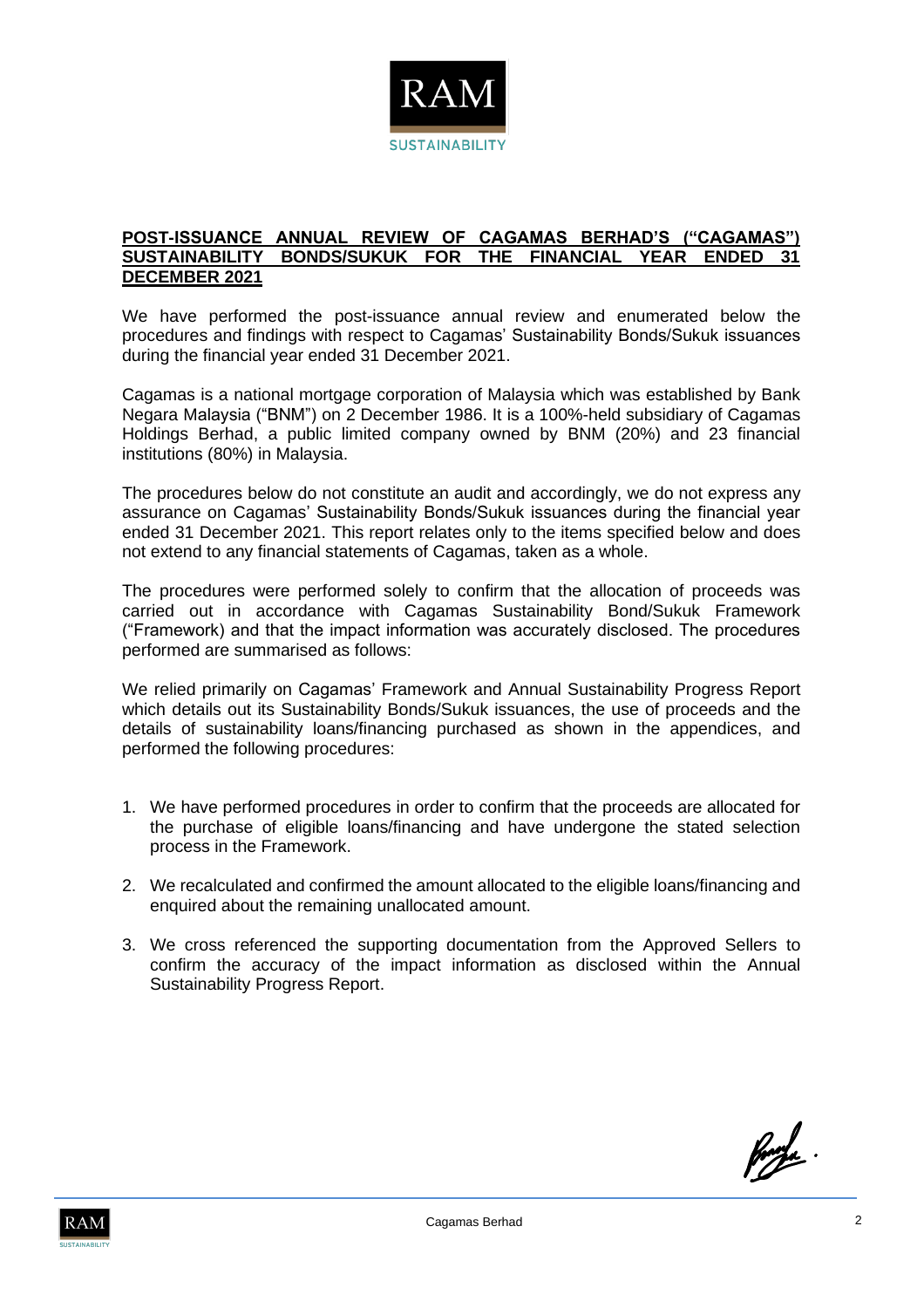

#### **POST-ISSUANCE ANNUAL REVIEW OF CAGAMAS BERHAD'S ("CAGAMAS") SUSTAINABILITY BONDS/SUKUK FOR THE FINANCIAL YEAR ENDED 31 DECEMBER 2021**

We have performed the post-issuance annual review and enumerated below the procedures and findings with respect to Cagamas' Sustainability Bonds/Sukuk issuances during the financial year ended 31 December 2021.

Cagamas is a national mortgage corporation of Malaysia which was established by Bank Negara Malaysia ("BNM") on 2 December 1986. It is a 100%-held subsidiary of Cagamas Holdings Berhad, a public limited company owned by BNM (20%) and 23 financial institutions (80%) in Malaysia.

The procedures below do not constitute an audit and accordingly, we do not express any assurance on Cagamas' Sustainability Bonds/Sukuk issuances during the financial year ended 31 December 2021. This report relates only to the items specified below and does not extend to any financial statements of Cagamas, taken as a whole.

The procedures were performed solely to confirm that the allocation of proceeds was carried out in accordance with Cagamas Sustainability Bond/Sukuk Framework ("Framework) and that the impact information was accurately disclosed. The procedures performed are summarised as follows:

We relied primarily on Cagamas' Framework and Annual Sustainability Progress Report which details out its Sustainability Bonds/Sukuk issuances, the use of proceeds and the details of sustainability loans/financing purchased as shown in the appendices, and performed the following procedures:

- 1. We have performed procedures in order to confirm that the proceeds are allocated for the purchase of eligible loans/financing and have undergone the stated selection process in the Framework.
- 2. We recalculated and confirmed the amount allocated to the eligible loans/financing and enquired about the remaining unallocated amount.
- 3. We cross referenced the supporting documentation from the Approved Sellers to confirm the accuracy of the impact information as disclosed within the Annual Sustainability Progress Report.

forde.

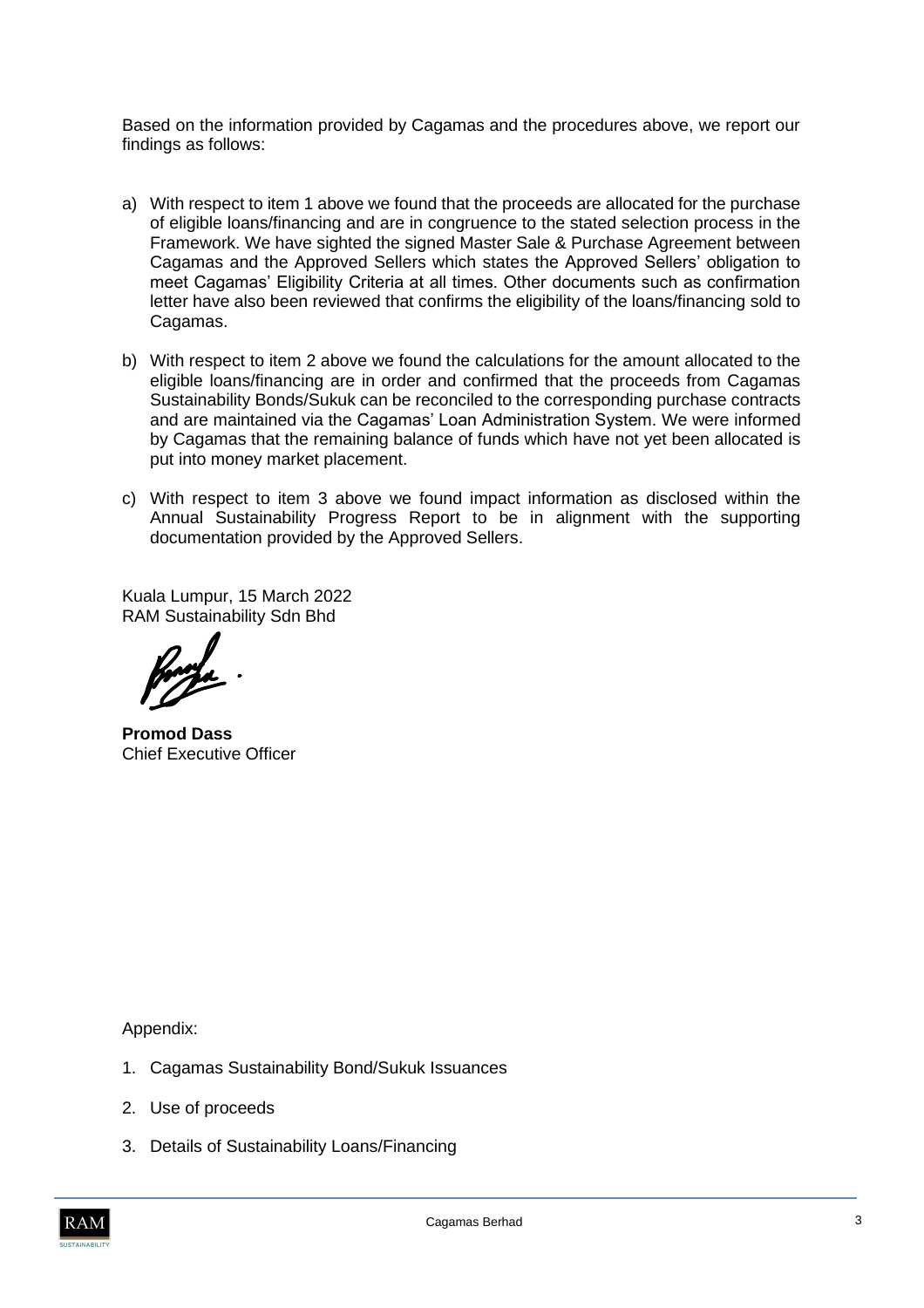Based on the information provided by Cagamas and the procedures above, we report our findings as follows:

- a) With respect to item 1 above we found that the proceeds are allocated for the purchase of eligible loans/financing and are in congruence to the stated selection process in the Framework. We have sighted the signed Master Sale & Purchase Agreement between Cagamas and the Approved Sellers which states the Approved Sellers' obligation to meet Cagamas' Eligibility Criteria at all times. Other documents such as confirmation letter have also been reviewed that confirms the eligibility of the loans/financing sold to Cagamas.
- b) With respect to item 2 above we found the calculations for the amount allocated to the eligible loans/financing are in order and confirmed that the proceeds from Cagamas Sustainability Bonds/Sukuk can be reconciled to the corresponding purchase contracts and are maintained via the Cagamas' Loan Administration System. We were informed by Cagamas that the remaining balance of funds which have not yet been allocated is put into money market placement.
- c) With respect to item 3 above we found impact information as disclosed within the Annual Sustainability Progress Report to be in alignment with the supporting documentation provided by the Approved Sellers.

Kuala Lumpur, 15 March 2022 RAM Sustainability Sdn Bhd

**Promod Dass** Chief Executive Officer

Appendix:

- 1. Cagamas Sustainability Bond/Sukuk Issuances
- 2. Use of proceeds
- 3. Details of Sustainability Loans/Financing

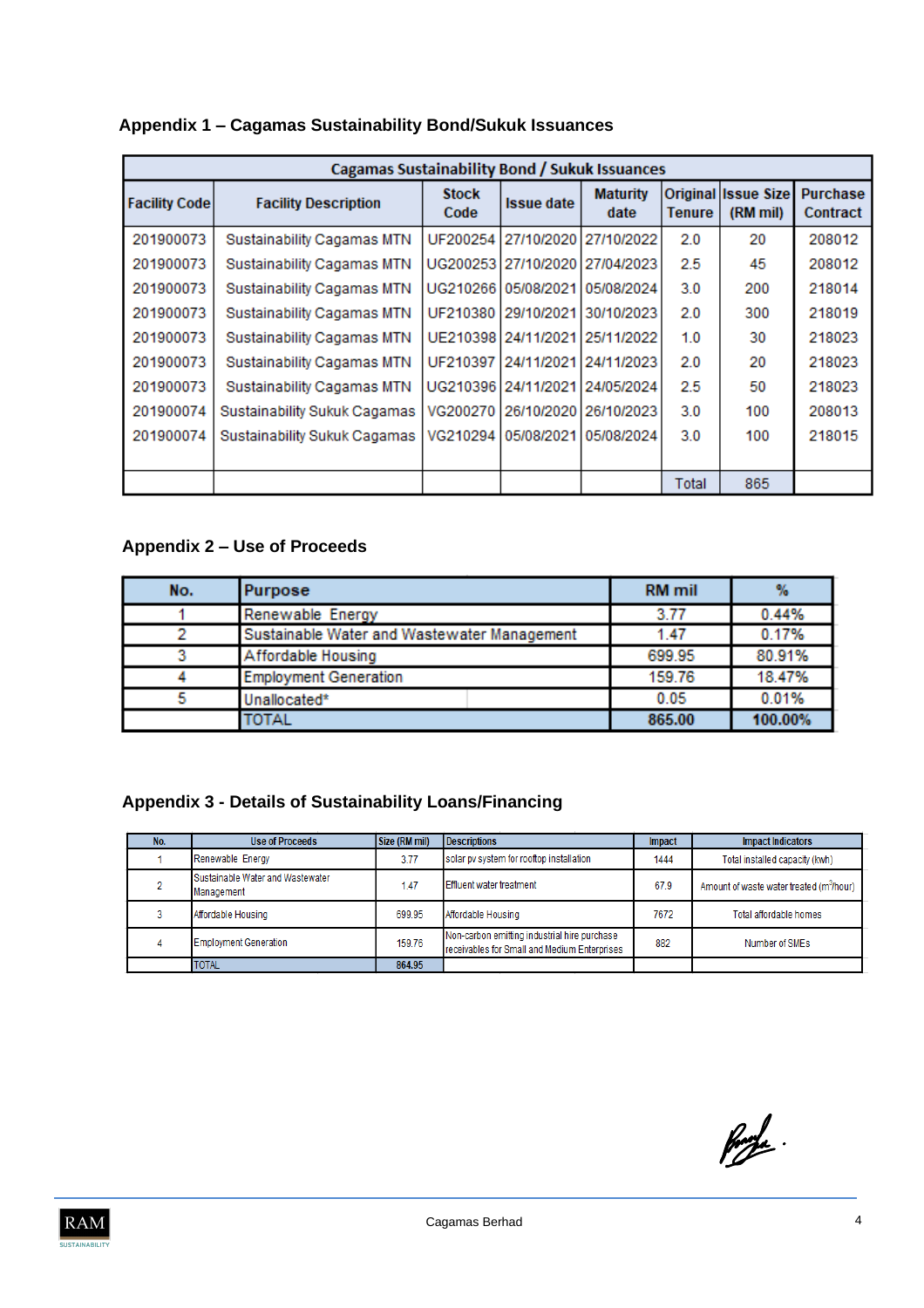| Appendix 1 - Cagamas Sustainability Bond/Sukuk Issuances |  |
|----------------------------------------------------------|--|
|----------------------------------------------------------|--|

| <b>Cagamas Sustainability Bond / Sukuk Issuances</b> |                              |                      |                                |                         |        |                                        |                                    |  |
|------------------------------------------------------|------------------------------|----------------------|--------------------------------|-------------------------|--------|----------------------------------------|------------------------------------|--|
| <b>Facility Code</b>                                 | <b>Facility Description</b>  | <b>Stock</b><br>Code | <b>Issue date</b>              | <b>Maturity</b><br>date | Tenure | <b>Original Issue Size</b><br>(RM mil) | <b>Purchase</b><br><b>Contract</b> |  |
| 201900073                                            | Sustainability Cagamas MTN   | UF200254             |                                | 27/10/2020 27/10/2022   | 2.0    | 20                                     | 208012                             |  |
| 201900073                                            | Sustainability Cagamas MTN   |                      | UG200253 27/10/2020 27/04/2023 |                         | 2.5    | 45                                     | 208012                             |  |
| 201900073                                            | Sustainability Cagamas MTN   |                      | UG210266105/08/2021            | 05/08/2024              | 3.0    | 200                                    | 218014                             |  |
| 201900073                                            | Sustainability Cagamas MTN   | UF210380             | 29/10/2021                     | 30/10/2023              | 2.0    | 300                                    | 218019                             |  |
| 201900073                                            | Sustainability Cagamas MTN   | UE210398             | 24/11/2021                     | 25/11/2022              | 1.0    | 30                                     | 218023                             |  |
| 201900073                                            | Sustainability Cagamas MTN   | UF210397             | 24/11/2021                     | 24/11/2023              | 2.0    | 20                                     | 218023                             |  |
| 201900073                                            | Sustainability Cagamas MTN   |                      | UG210396124/11/2021            | 24/05/2024              | 2.5    | 50                                     | 218023                             |  |
| 201900074                                            | Sustainability Sukuk Cagamas | VG200270             | 26/10/2020                     | 26/10/2023              | 3.0    | 100                                    | 208013                             |  |
| 201900074                                            | Sustainability Sukuk Cagamas | VG210294             | 05/08/2021                     | 05/08/2024              | 3.0    | 100                                    | 218015                             |  |
|                                                      |                              |                      |                                |                         |        |                                        |                                    |  |
|                                                      |                              |                      |                                |                         | Total  | 865                                    |                                    |  |

### **Appendix 2 – Use of Proceeds**

| No. | Purpose                                     | <b>RM</b> mil |         |
|-----|---------------------------------------------|---------------|---------|
|     | Renewable Energy                            | 3.77          | 0.44%   |
|     | Sustainable Water and Wastewater Management | 1.47          | 0.17%   |
| 3   | Affordable Housing                          | 699.95        | 80.91%  |
|     | <b>Employment Generation</b>                | 159.76        | 18.47%  |
|     | Unallocated*                                | 0.05          | 0.01%   |
|     | TOTAL                                       | 865.00        | 100.00% |

## **Appendix 3 - Details of Sustainability Loans/Financing**

| No. | <b>Use of Proceeds</b>                         | Size (RM mil) | <b>Descriptions</b>                                                                          | <b>Impact</b> | <b>Impact Indicators</b>                             |
|-----|------------------------------------------------|---------------|----------------------------------------------------------------------------------------------|---------------|------------------------------------------------------|
|     | Renewable Energy                               | 3.77          | solar py system for rooftop installation                                                     | 1444          | Total installed capacity (kwh)                       |
|     | Sustainable Water and Wastewater<br>Management | 1.47          | Effluent water treatment                                                                     | 67.9          | Amount of waste water treated (m <sup>3</sup> /hour) |
|     | Affordable Housing                             | 699.95        | Affordable Housing                                                                           | 7672          | Total affordable homes                               |
|     | <b>Employment Generation</b>                   | 159.76        | Non-carbon emitting industrial hire purchase<br>receivables for Small and Medium Enterprises | 882           | Number of SMEs                                       |
|     | <b>TOTAL</b>                                   | 864.95        |                                                                                              |               |                                                      |

fords.